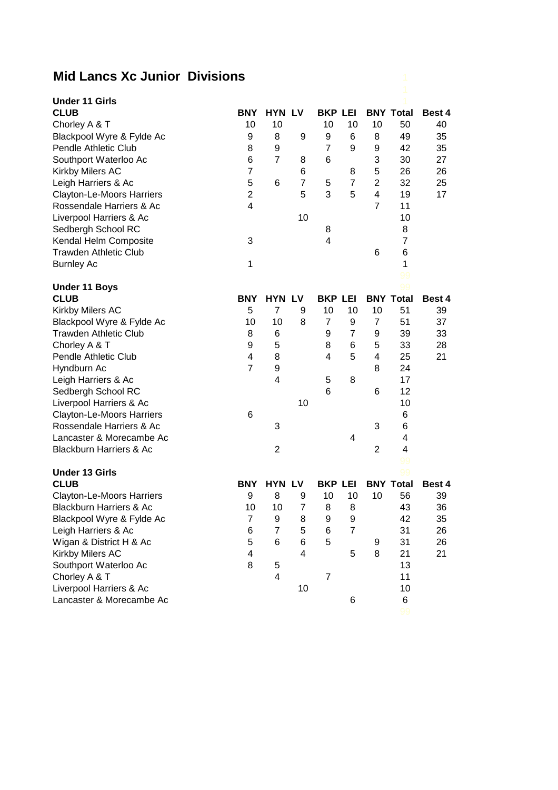## **Mid Lancs Xc Junior Divisions**

| <b>Under 11 Girls</b>              |                         |                |                         |                 |                |                |                  |               |
|------------------------------------|-------------------------|----------------|-------------------------|-----------------|----------------|----------------|------------------|---------------|
| <b>CLUB</b>                        | <b>BNY</b>              | <b>HYN LV</b>  |                         | <b>BKP LEI</b>  |                |                | <b>BNY Total</b> | <b>Best 4</b> |
| Chorley A & T                      | 10                      | 10             |                         | 10              | 10             | 10             | 50               | 40            |
| Blackpool Wyre & Fylde Ac          | 9                       | 8              | 9                       | 9               | 6              | 8              | 49               | 35            |
| <b>Pendle Athletic Club</b>        | 8                       | 9              |                         | 7               | 9              | 9              | 42               | 35            |
| Southport Waterloo Ac              | 6                       | $\overline{7}$ | 8                       | 6               |                | 3              | 30               | 27            |
| Kirkby Milers AC                   | $\overline{7}$          |                | 6                       |                 | 8              | 5              | 26               | 26            |
| Leigh Harriers & Ac                | 5                       | 6              | $\overline{7}$          | 5               | $\overline{7}$ | $\overline{2}$ | 32               | 25            |
| <b>Clayton-Le-Moors Harriers</b>   | $\overline{2}$          |                | 5                       | 3               | 5              | 4              | 19               | 17            |
| Rossendale Harriers & Ac           | $\overline{4}$          |                |                         |                 |                | $\overline{7}$ | 11               |               |
| Liverpool Harriers & Ac            |                         |                | 10                      |                 |                |                | 10               |               |
| Sedbergh School RC                 |                         |                |                         | 8               |                |                | 8                |               |
| Kendal Helm Composite              | 3                       |                |                         | 4               |                |                | $\overline{7}$   |               |
| <b>Trawden Athletic Club</b>       |                         |                |                         |                 |                | 6              | 6                |               |
| <b>Burnley Ac</b>                  | 1                       |                |                         |                 |                |                | 1                |               |
|                                    |                         |                |                         |                 |                |                | 99               |               |
| <b>Under 11 Boys</b>               |                         |                |                         |                 |                |                | 99               |               |
| <b>CLUB</b>                        | <b>BNY</b>              | <b>HYN LV</b>  |                         | <b>BKP LEI</b>  |                |                | <b>BNY Total</b> | Best 4        |
| Kirkby Milers AC                   | 5                       | $\overline{7}$ | 9                       | 10              | 10             | 10             | 51               | 39            |
| Blackpool Wyre & Fylde Ac          | 10                      | 10             | 8                       | $\overline{7}$  | 9              | $\overline{7}$ | 51               | 37            |
| <b>Trawden Athletic Club</b>       | 8                       | 6              |                         | 9               | $\overline{7}$ | 9              | 39               | 33            |
| Chorley A & T                      | 9                       | 5              |                         | 8               | 6              | 5              | 33               | 28            |
| Pendle Athletic Club               | $\overline{\mathbf{4}}$ | 8              |                         | 4               | 5              | 4              | 25               | 21            |
| Hyndburn Ac                        | $\overline{7}$          | 9              |                         |                 |                | 8              | 24               |               |
| Leigh Harriers & Ac                |                         | $\overline{4}$ |                         | 5               | 8              |                | 17               |               |
| Sedbergh School RC                 |                         |                |                         | $6\phantom{1}6$ |                | 6              | 12               |               |
| Liverpool Harriers & Ac            |                         |                | 10                      |                 |                |                | 10               |               |
| <b>Clayton-Le-Moors Harriers</b>   | 6                       |                |                         |                 |                |                | 6                |               |
| Rossendale Harriers & Ac           |                         | 3              |                         |                 |                | 3              | 6                |               |
| Lancaster & Morecambe Ac           |                         |                |                         |                 | 4              |                | 4                |               |
| <b>Blackburn Harriers &amp; Ac</b> |                         | $\overline{2}$ |                         |                 |                | $\overline{2}$ | 4                |               |
|                                    |                         |                |                         |                 |                |                | 99               |               |
| <b>Under 13 Girls</b>              |                         |                |                         |                 |                |                | 99               |               |
| <b>CLUB</b>                        | <b>BNY</b>              | <b>HYN LV</b>  |                         | <b>BKP LEI</b>  |                |                | <b>BNY Total</b> | Best 4        |
| <b>Clayton-Le-Moors Harriers</b>   | 9                       | 8              | 9                       | 10              | 10             | 10             | 56               | 39            |
| <b>Blackburn Harriers &amp; Ac</b> | 10                      | 10             | $\overline{7}$          | 8               | 8              |                | 43               | 36            |
| Blackpool Wyre & Fylde Ac          | $\overline{7}$          | 9              | 8                       | 9               | 9              |                | 42               | 35            |
| Leigh Harriers & Ac                | 6                       | $\overline{7}$ | 5                       | 6               | $\overline{7}$ |                | 31               | 26            |
| Wigan & District H & Ac            | 5                       | 6              | $\,6$                   | 5               |                | 9              | 31               | 26            |
| Kirkby Milers AC                   | 4                       |                | $\overline{\mathbf{4}}$ |                 | 5              | 8              | 21               | 21            |
| Southport Waterloo Ac              | 8                       | 5              |                         |                 |                |                | 13               |               |
| Chorley A & T                      |                         | 4              |                         | $\overline{7}$  |                |                | 11               |               |
| Liverpool Harriers & Ac            |                         |                | 10                      |                 |                |                | 10               |               |
| Lancaster & Morecambe Ac           |                         |                |                         |                 | 6              |                | 6                |               |
|                                    |                         |                |                         |                 |                |                |                  |               |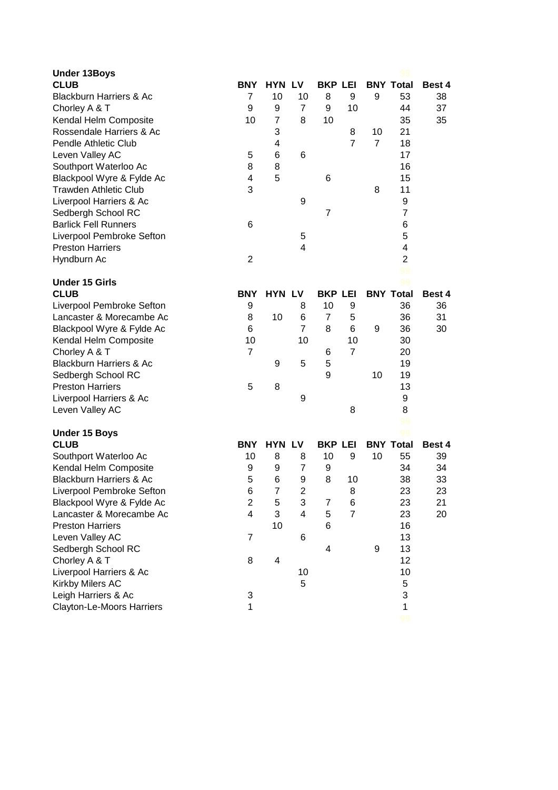| <b>Under 13Boys</b>                |                |                         |                |                |                |                |                  |        |
|------------------------------------|----------------|-------------------------|----------------|----------------|----------------|----------------|------------------|--------|
| <b>CLUB</b>                        | BNY            | <b>HYN LV</b>           |                | <b>BKP LEI</b> |                |                | <b>BNY Total</b> | Best 4 |
| <b>Blackburn Harriers &amp; Ac</b> | 7              | 10                      | 10             | 8              | 9              | 9              | 53               | 38     |
| Chorley A & T                      | 9              | 9                       | 7              | 9              | 10             |                | 44               | 37     |
| Kendal Helm Composite              | 10             | 7                       | 8              | 10             |                |                | 35               | 35     |
| Rossendale Harriers & Ac           |                | 3                       |                |                | 8              | 10             | 21               |        |
| Pendle Athletic Club               |                | 4                       |                |                | $\overline{7}$ | $\overline{7}$ | 18               |        |
| Leven Valley AC                    | 5              | 6                       | 6              |                |                |                | 17               |        |
| Southport Waterloo Ac              | 8              | 8                       |                |                |                |                | 16               |        |
| Blackpool Wyre & Fylde Ac          | 4              | 5                       |                | 6              |                |                | 15               |        |
| <b>Trawden Athletic Club</b>       | 3              |                         |                |                |                | 8              | 11               |        |
| Liverpool Harriers & Ac            |                |                         | 9              |                |                |                | 9                |        |
| Sedbergh School RC                 |                |                         |                | $\overline{7}$ |                |                | $\overline{7}$   |        |
| <b>Barlick Fell Runners</b>        | 6              |                         |                |                |                |                | 6                |        |
| Liverpool Pembroke Sefton          |                |                         | 5              |                |                |                | 5                |        |
| <b>Preston Harriers</b>            |                |                         | 4              |                |                |                | 4                |        |
| Hyndburn Ac                        | $\overline{2}$ |                         |                |                |                |                | $\overline{2}$   |        |
|                                    |                |                         |                |                |                |                | 99               |        |
| <b>Under 15 Girls</b>              |                |                         |                |                |                |                | 99               |        |
| <b>CLUB</b>                        | <b>BNY</b>     | <b>HYN LV</b>           |                | <b>BKP LEI</b> |                |                | <b>BNY Total</b> | Best 4 |
| Liverpool Pembroke Sefton          | 9              |                         | 8              | 10             | 9              |                | 36               | 36     |
| Lancaster & Morecambe Ac           | 8              | 10                      | 6              | $\overline{7}$ | 5              |                | 36               | 31     |
| Blackpool Wyre & Fylde Ac          | 6              |                         | $\overline{7}$ | 8              | 6              | 9              | 36               | 30     |
| Kendal Helm Composite              | 10             |                         | 10             |                | 10             |                | 30               |        |
| Chorley A & T                      | $\overline{7}$ |                         |                | 6              | $\overline{7}$ |                | 20               |        |
| <b>Blackburn Harriers &amp; Ac</b> |                | 9                       | 5              | 5              |                |                | 19               |        |
| Sedbergh School RC                 |                |                         |                | 9              |                | 10             | 19               |        |
| <b>Preston Harriers</b>            | 5              | 8                       |                |                |                |                | 13               |        |
| Liverpool Harriers & Ac            |                |                         | 9              |                |                |                | 9                |        |
| Leven Valley AC                    |                |                         |                |                | 8              |                | 8                |        |
|                                    |                |                         |                |                |                |                | 99               |        |
| <b>Under 15 Boys</b>               |                |                         |                |                |                |                | 99               |        |
| <b>CLUB</b>                        | <b>BNY</b>     | <b>HYN LV</b>           |                | <b>BKP LEI</b> |                |                | <b>BNY Total</b> | Best 4 |
| Southport Waterloo Ac              | 10             | 8                       | 8              | 10             | 9              | 10             | 55               | 39     |
| Kendal Helm Composite              | 9              | 9                       | $\overline{7}$ | 9              |                |                | 34               | 34     |
| <b>Blackburn Harriers &amp; Ac</b> | 5              | 6                       | 9              | 8              | 10             |                | 38               | 33     |
| Liverpool Pembroke Sefton          | 6              | 7                       | 2              |                | 8              |                | 23               | 23     |
| Blackpool Wyre & Fylde Ac          | $\overline{2}$ | $\mathbf 5$             | 3              | 7              | 6              |                | 23               | 21     |
| Lancaster & Morecambe Ac           | $\overline{4}$ | 3                       | $\overline{4}$ | 5              | $\overline{7}$ |                | 23               | 20     |
| <b>Preston Harriers</b>            |                | 10                      |                | 6              |                |                | 16               |        |
| Leven Valley AC                    | $\overline{7}$ |                         | 6              |                |                |                | 13               |        |
| Sedbergh School RC                 |                |                         |                | 4              |                | 9              | 13               |        |
| Chorley A & T                      | 8              | $\overline{\mathbf{4}}$ |                |                |                |                | 12               |        |
| Liverpool Harriers & Ac            |                |                         | 10             |                |                |                | 10               |        |
| Kirkby Milers AC                   |                |                         | 5              |                |                |                | 5                |        |
| Leigh Harriers & Ac                | 3              |                         |                |                |                |                | 3                |        |
| Clayton-Le-Moors Harriers          | $\mathbf{1}$   |                         |                |                |                |                | $\mathbf{1}$     |        |
|                                    |                |                         |                |                |                |                |                  |        |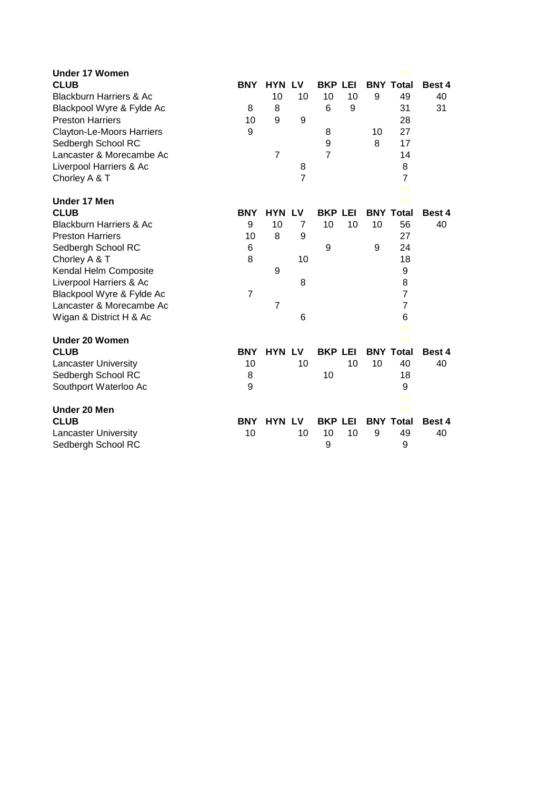| <b>Under 17 Women</b>              |                |                |                |                |    |    |                  |               |
|------------------------------------|----------------|----------------|----------------|----------------|----|----|------------------|---------------|
| <b>CLUB</b>                        | <b>BNY</b>     | <b>HYN LV</b>  |                | <b>BKP LEI</b> |    |    | <b>BNY Total</b> | Best 4        |
| <b>Blackburn Harriers &amp; Ac</b> |                | 10             | 10             | 10             | 10 | 9  | 49               | 40            |
| Blackpool Wyre & Fylde Ac          | 8              | 8              |                | 6              | 9  |    | 31               | 31            |
| <b>Preston Harriers</b>            | 10             | 9              | 9              |                |    |    | 28               |               |
| <b>Clayton-Le-Moors Harriers</b>   | 9              |                |                | 8              |    | 10 | 27               |               |
| Sedbergh School RC                 |                |                |                | 9              |    | 8  | 17               |               |
| Lancaster & Morecambe Ac           |                | $\overline{7}$ |                | $\overline{7}$ |    |    | 14               |               |
| Liverpool Harriers & Ac            |                |                | 8              |                |    |    | 8                |               |
| Chorley A & T                      |                |                | $\overline{7}$ |                |    |    | $\overline{7}$   |               |
|                                    |                |                |                |                |    |    | 99               |               |
| <b>Under 17 Men</b>                |                |                |                |                |    |    | 99               |               |
| <b>CLUB</b>                        | <b>BNY</b>     | <b>HYN LV</b>  |                | <b>BKP LEI</b> |    |    | <b>BNY Total</b> | Best 4        |
| <b>Blackburn Harriers &amp; Ac</b> | 9              | 10             | 7              | 10             | 10 | 10 | 56               | 40            |
| <b>Preston Harriers</b>            | 10             | 8              | 9              |                |    |    | 27               |               |
| Sedbergh School RC                 | 6              |                |                | 9              |    | 9  | 24               |               |
| Chorley A & T                      | 8              |                | 10             |                |    |    | 18               |               |
| Kendal Helm Composite              |                | 9              |                |                |    |    | 9                |               |
| Liverpool Harriers & Ac            |                |                | 8              |                |    |    | 8                |               |
| Blackpool Wyre & Fylde Ac          | $\overline{7}$ |                |                |                |    |    | $\overline{7}$   |               |
| Lancaster & Morecambe Ac           |                | $\overline{7}$ |                |                |    |    | $\overline{7}$   |               |
| Wigan & District H & Ac            |                |                | 6              |                |    |    | 6                |               |
|                                    |                |                |                |                |    |    | 99               |               |
| Under 20 Women                     |                |                |                |                |    |    | 99               |               |
| <b>CLUB</b>                        | <b>BNY</b>     | <b>HYN LV</b>  |                | <b>BKP LEI</b> |    |    | <b>BNY Total</b> | Best 4        |
| <b>Lancaster University</b>        | 10             |                | 10             |                | 10 | 10 | 40               | 40            |
| Sedbergh School RC                 | 8              |                |                | 10             |    |    | 18               |               |
| Southport Waterloo Ac              | 9              |                |                |                |    |    | 9                |               |
|                                    |                |                |                |                |    |    | 99               |               |
| Under 20 Men                       |                |                |                |                |    |    | 99               |               |
| <b>CLUB</b>                        | <b>BNY</b>     | <b>HYN LV</b>  |                | <b>BKP LEI</b> |    |    | <b>BNY Total</b> | <b>Best 4</b> |
| <b>Lancaster University</b>        | 10             |                | 10             | 10             | 10 | 9  | 49               | 40            |
| Sedbergh School RC                 |                |                |                | 9              |    |    | 9                |               |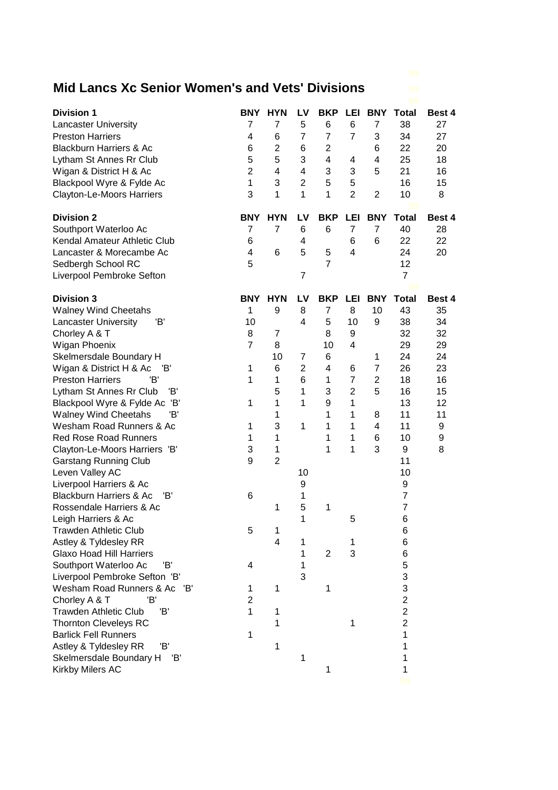## **Mid Lancs Xc Senior Women's and Vets' Divisions** 99

| <b>Division 1</b>                         | <b>BNY</b>     | <b>HYN</b>     | LV             | <b>BKP</b>     | LEI            | <b>BNY</b>     | <b>Total</b>            | Best 4 |
|-------------------------------------------|----------------|----------------|----------------|----------------|----------------|----------------|-------------------------|--------|
| <b>Lancaster University</b>               | 7              | 7              | 5              | 6              | 6              | 7              | 38                      | 27     |
| <b>Preston Harriers</b>                   | 4              | 6              | $\overline{7}$ | $\overline{7}$ | $\overline{7}$ | 3              | 34                      | 27     |
| <b>Blackburn Harriers &amp; Ac</b>        | 6              | $\overline{c}$ | 6              | 2              |                | 6              | 22                      | 20     |
| Lytham St Annes Rr Club                   | 5              | 5              | 3              | $\overline{4}$ | 4              | 4              | 25                      | 18     |
| Wigan & District H & Ac                   | $\overline{2}$ | 4              | 4              | 3              | 3              | 5              | 21                      | 16     |
| Blackpool Wyre & Fylde Ac                 | $\mathbf{1}$   | 3              | $\overline{2}$ | 5              | 5              |                | 16                      | 15     |
| Clayton-Le-Moors Harriers                 | 3              | 1              | 1              | 1              | $\overline{2}$ | $\overline{2}$ | 10                      | 8      |
| <b>Division 2</b>                         | <b>BNY</b>     | <b>HYN</b>     | LV             | <b>BKP</b>     | LEI            | <b>BNY</b>     | <b>Total</b>            | Best 4 |
| Southport Waterloo Ac                     | $\overline{7}$ | $\overline{7}$ | 6              | 6              | $\overline{7}$ | $\overline{7}$ | 40                      | 28     |
| Kendal Amateur Athletic Club              | 6              |                | 4              |                | 6              | 6              | 22                      | 22     |
| Lancaster & Morecambe Ac                  | 4              | 6              | 5              | 5              | 4              |                | 24                      | 20     |
| Sedbergh School RC                        | 5              |                |                | $\overline{7}$ |                |                | 12                      |        |
| Liverpool Pembroke Sefton                 |                |                | $\overline{7}$ |                |                |                | $\overline{7}$          |        |
| <b>Division 3</b>                         | BNY            | <b>HYN</b>     | LV             | <b>BKP</b>     | LEI            | <b>BNY</b>     | 99<br><b>Total</b>      | Best 4 |
| <b>Walney Wind Cheetahs</b>               | 1              | 9              | 8              | 7              | 8              | 10             | 43                      | 35     |
| <b>Lancaster University</b><br>'B'        | 10             |                | 4              | 5              | 10             | 9              | 38                      | 34     |
| Chorley A & T                             | 8              | 7              |                | 8              | 9              |                | 32                      | 32     |
| Wigan Phoenix                             | $\overline{7}$ | 8              |                | 10             | 4              |                | 29                      | 29     |
| Skelmersdale Boundary H                   |                | 10             | 7              | 6              |                | 1              | 24                      | 24     |
| Wigan & District H & Ac<br>'B'            | 1              | 6              | $\overline{2}$ | 4              | 6              | $\overline{7}$ | 26                      | 23     |
| <b>Preston Harriers</b><br>'B'            | 1              | 1              | 6              | 1              | $\overline{7}$ | $\overline{2}$ | 18                      | 16     |
| Lytham St Annes Rr Club<br>'B'            |                | 5              | 1              | 3              | $\overline{2}$ | 5              | 16                      | 15     |
| Blackpool Wyre & Fylde Ac<br>'B'          | 1              | 1              | 1              | 9              | 1              |                | 13                      | 12     |
| Έ<br><b>Walney Wind Cheetahs</b>          |                | 1              |                | 1              | 1              | 8              | 11                      | 11     |
| Wesham Road Runners & Ac                  | 1              | 3              | 1              | 1              | 1              | 4              | 11                      | 9      |
| <b>Red Rose Road Runners</b>              | 1              | 1              |                | 1              | 1              | 6              | 10                      | 9      |
| Clayton-Le-Moors Harriers 'B'             | 3              | 1              |                | 1              | 1              | 3              | 9                       | 8      |
| <b>Garstang Running Club</b>              | 9              | $\overline{2}$ |                |                |                |                | 11                      |        |
| Leven Valley AC                           |                |                | 10             |                |                |                | 10                      |        |
| Liverpool Harriers & Ac                   |                |                | 9              |                |                |                | 9                       |        |
| <b>Blackburn Harriers &amp; Ac</b><br>'B' | 6              |                | 1              |                |                |                | $\overline{7}$          |        |
| Rossendale Harriers & Ac                  |                | 1              | 5              | 1              |                |                | $\overline{7}$          |        |
| Leigh Harriers & Ac                       |                |                | 1              |                | 5              |                | 6                       |        |
| <b>Trawden Athletic Club</b>              | 5              | 1              |                |                |                |                | 6                       |        |
| Astley & Tyldesley RR                     |                | 4              | 1              |                | 1              |                | 6                       |        |
| <b>Glaxo Hoad Hill Harriers</b>           |                |                | 1              | $\overline{2}$ | 3              |                | 6                       |        |
| Southport Waterloo Ac<br>'B'              | 4              |                | 1              |                |                |                | 5                       |        |
| Liverpool Pembroke Sefton 'B'             |                |                | 3              |                |                |                | 3                       |        |
| Wesham Road Runners & Ac<br>'B'           | 1              | 1              |                | 1              |                |                | 3                       |        |
| 'B'<br>Chorley A & T                      | 2              |                |                |                |                |                | $\overline{\mathbf{c}}$ |        |
| <b>Trawden Athletic Club</b><br>'B'       | 1              | 1              |                |                |                |                | $\overline{2}$          |        |
| <b>Thornton Cleveleys RC</b>              |                | 1              |                |                | 1              |                | $\overline{2}$          |        |
| <b>Barlick Fell Runners</b>               | 1              |                |                |                |                |                | 1                       |        |
| 'B'<br>Astley & Tyldesley RR              |                | 1              |                |                |                |                | 1                       |        |
| Skelmersdale Boundary H<br>'B'            |                |                | 1              |                |                |                | 1                       |        |
| Kirkby Milers AC                          |                |                |                | 1              |                |                | 1                       |        |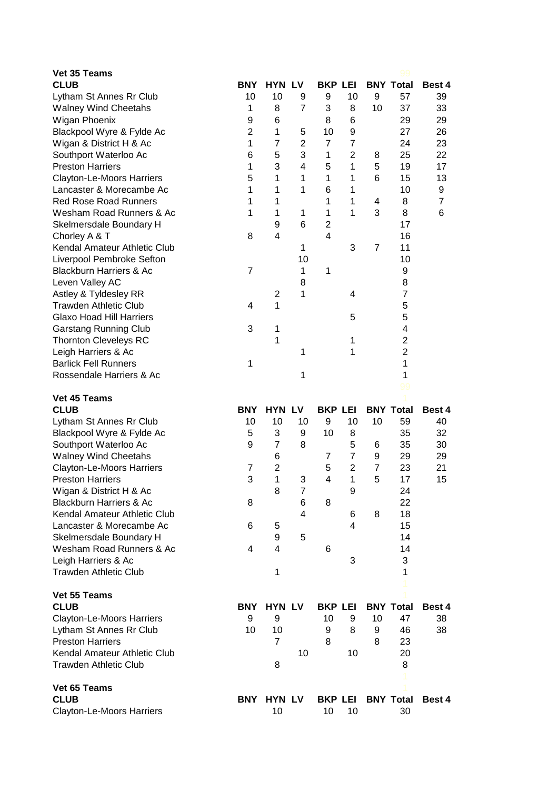| Vet 35 Teams                                                    |                 |                     |                |                |                     |                |                  |        |
|-----------------------------------------------------------------|-----------------|---------------------|----------------|----------------|---------------------|----------------|------------------|--------|
| <b>CLUB</b>                                                     | <b>BNY</b>      | <b>HYN LV</b>       |                | <b>BKP LEI</b> |                     |                | <b>BNY Total</b> | Best 4 |
| Lytham St Annes Rr Club                                         | 10              | 10                  | 9              | 9              | 10                  | 9              | 57               | 39     |
| <b>Walney Wind Cheetahs</b>                                     | 1               | 8                   | $\overline{7}$ | 3              | 8                   | 10             | 37               | 33     |
| Wigan Phoenix                                                   | 9               | 6                   |                | 8              | 6                   |                | 29               | 29     |
| Blackpool Wyre & Fylde Ac                                       | $\overline{2}$  | 1                   | 5              | 10             | 9                   |                | 27               | 26     |
| Wigan & District H & Ac                                         | 1               | $\overline{7}$      | $\overline{2}$ | $\overline{7}$ | $\overline{7}$      |                | 24               | 23     |
| Southport Waterloo Ac                                           | $6\phantom{1}6$ | 5                   | 3              | 1              | $\overline{2}$      | 8              | 25               | 22     |
| <b>Preston Harriers</b>                                         | 1               | 3                   | 4              | 5              | 1                   | 5              | 19               | 17     |
| Clayton-Le-Moors Harriers                                       | 5               | 1                   | 1              | 1              | 1                   | 6              | 15               | 13     |
| Lancaster & Morecambe Ac                                        | 1               | 1                   | 1              | 6              | 1                   |                | 10               | 9      |
| <b>Red Rose Road Runners</b>                                    | 1               | 1                   |                | 1              | 1                   | 4              | 8                | 7      |
| Wesham Road Runners & Ac                                        | 1               | 1                   | 1              | 1              | 1                   | 3              | 8                | 6      |
| Skelmersdale Boundary H                                         |                 | 9                   | 6              | $\overline{2}$ |                     |                | 17               |        |
| Chorley A & T                                                   | 8               | 4                   |                | 4              |                     |                | 16               |        |
| Kendal Amateur Athletic Club                                    |                 |                     | 1              |                | 3                   | $\overline{7}$ | 11               |        |
| Liverpool Pembroke Sefton                                       |                 |                     | 10             |                |                     |                | 10               |        |
| <b>Blackburn Harriers &amp; Ac</b>                              | $\overline{7}$  |                     | $\mathbf{1}$   | 1              |                     |                | 9                |        |
| Leven Valley AC                                                 |                 |                     | 8              |                |                     |                | 8                |        |
| Astley & Tyldesley RR                                           |                 | $\overline{2}$      | 1              |                | 4                   |                | $\overline{7}$   |        |
| <b>Trawden Athletic Club</b>                                    | 4               | 1                   |                |                |                     |                | 5                |        |
| <b>Glaxo Hoad Hill Harriers</b>                                 |                 |                     |                |                | 5                   |                | 5                |        |
| <b>Garstang Running Club</b>                                    | 3               | 1                   |                |                |                     |                | 4                |        |
| <b>Thornton Cleveleys RC</b>                                    |                 | 1                   |                |                | 1                   |                | $\overline{2}$   |        |
| Leigh Harriers & Ac                                             |                 |                     | 1              |                | 1                   |                | $\overline{2}$   |        |
| <b>Barlick Fell Runners</b>                                     | 1               |                     |                |                |                     |                | 1                |        |
| Rossendale Harriers & Ac                                        |                 |                     | 1              |                |                     |                | 1<br>99          |        |
|                                                                 |                 |                     |                |                |                     |                |                  |        |
|                                                                 |                 |                     |                |                |                     |                |                  |        |
| Vet 45 Teams<br><b>CLUB</b>                                     | <b>BNY</b>      | <b>HYN LV</b>       |                | <b>BKP LEI</b> |                     |                | <b>BNY Total</b> | Best 4 |
|                                                                 | 10              | 10                  | 10             | 9              | 10                  | 10             | 59               | 40     |
| Lytham St Annes Rr Club                                         | 5               | 3                   | 9              | 10             | 8                   |                | 35               | 32     |
| Blackpool Wyre & Fylde Ac                                       | 9               | $\overline{7}$      | 8              |                |                     | 6              | 35               | 30     |
| Southport Waterloo Ac                                           |                 |                     |                | $\overline{7}$ | 5<br>$\overline{7}$ | 9              | 29               | 29     |
| <b>Walney Wind Cheetahs</b><br><b>Clayton-Le-Moors Harriers</b> | $\overline{7}$  | 6<br>$\overline{2}$ |                | 5              | $\overline{2}$      | $\overline{7}$ | 23               | 21     |
| <b>Preston Harriers</b>                                         | 3               | 1                   | 3              | 4              | 1                   | 5              | 17               | 15     |
| Wigan & District H & Ac                                         |                 | 8                   | $\overline{7}$ |                | 9                   |                | 24               |        |
| <b>Blackburn Harriers &amp; Ac</b>                              | 8               |                     | 6              | 8              |                     |                | 22               |        |
| Kendal Amateur Athletic Club                                    |                 |                     | 4              |                | 6                   | 8              | 18               |        |
| Lancaster & Morecambe Ac                                        | 6               | 5                   |                |                | 4                   |                | 15               |        |
| Skelmersdale Boundary H                                         |                 | 9                   | 5              |                |                     |                | 14               |        |
| Wesham Road Runners & Ac                                        | 4               | 4                   |                | 6              |                     |                | 14               |        |
| Leigh Harriers & Ac                                             |                 |                     |                |                | 3                   |                | 3                |        |
| <b>Trawden Athletic Club</b>                                    |                 | 1                   |                |                |                     |                | 1                |        |
| Vet 55 Teams                                                    |                 |                     |                |                |                     |                |                  |        |
| <b>CLUB</b>                                                     | <b>BNY</b>      | <b>HYN LV</b>       |                | <b>BKP LEI</b> |                     |                | <b>BNY Total</b> | Best 4 |
|                                                                 | 9               | 9                   |                | 10             | 9                   | 10             | 47               | 38     |
| <b>Clayton-Le-Moors Harriers</b>                                | 10              | 10                  |                | 9              | 8                   | 9              | 46               | 38     |
| Lytham St Annes Rr Club<br><b>Preston Harriers</b>              |                 | $\overline{7}$      |                | 8              |                     | 8              | 23               |        |
| Kendal Amateur Athletic Club                                    |                 |                     | 10             |                | 10                  |                | 20               |        |
| <b>Trawden Athletic Club</b>                                    |                 | 8                   |                |                |                     |                | 8                |        |
| Vet 65 Teams                                                    |                 |                     |                |                |                     |                |                  |        |
| <b>CLUB</b>                                                     | <b>BNY</b>      | <b>HYN LV</b>       |                | <b>BKP LEI</b> |                     |                | <b>BNY Total</b> | Best 4 |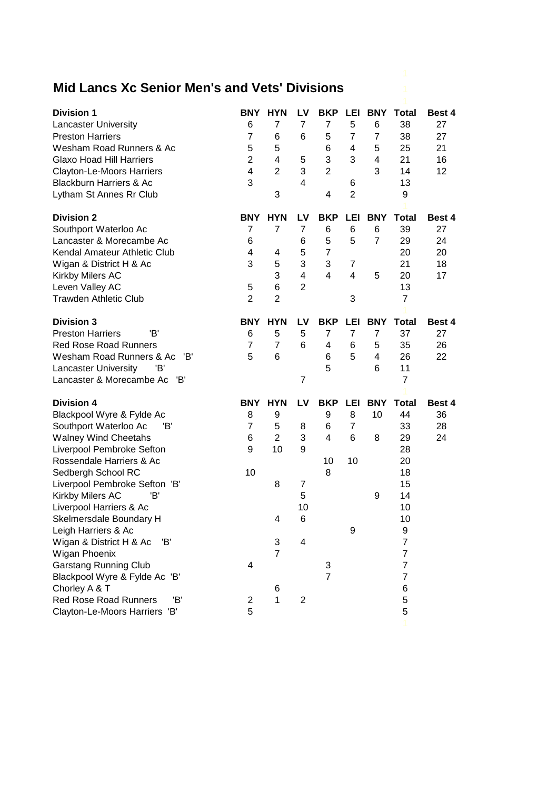## **Mid Lancs Xc Senior Men's and Vets' Divisions** 1

| <b>Division 1</b>                   | <b>BNY</b>              | <b>HYN</b>     | LV                      | <b>BKP</b>     | LEI            | <b>BNY</b>     | <b>Total</b>   | Best 4 |
|-------------------------------------|-------------------------|----------------|-------------------------|----------------|----------------|----------------|----------------|--------|
| <b>Lancaster University</b>         | 6                       | $\overline{7}$ | $\overline{7}$          | $\overline{7}$ | 5              | 6              | 38             | 27     |
| <b>Preston Harriers</b>             | $\overline{7}$          | 6              | 6                       | 5              | $\overline{7}$ | $\overline{7}$ | 38             | 27     |
| Wesham Road Runners & Ac            | 5                       | 5              |                         | 6              | 4              | 5              | 25             | 21     |
| <b>Glaxo Hoad Hill Harriers</b>     | $\overline{2}$          | 4              | 5                       | 3              | 3              | 4              | 21             | 16     |
| Clayton-Le-Moors Harriers           | 4                       | $\overline{2}$ | 3                       | $\overline{2}$ |                | 3              | 14             | 12     |
| <b>Blackburn Harriers &amp; Ac</b>  | 3                       |                | 4                       |                | 6              |                | 13             |        |
| Lytham St Annes Rr Club             |                         | 3              |                         | 4              | $\overline{2}$ |                | 9              |        |
|                                     |                         |                |                         |                |                |                |                |        |
| <b>Division 2</b>                   | <b>BNY</b>              | <b>HYN</b>     | LV                      | <b>BKP</b>     | LEI            | BNY            | <b>Total</b>   | Best 4 |
| Southport Waterloo Ac               | 7                       | 7              | 7                       | 6              | 6              | 6              | 39             | 27     |
| Lancaster & Morecambe Ac            | 6                       |                | 6                       | 5              | 5              | $\overline{7}$ | 29             | 24     |
| Kendal Amateur Athletic Club        | 4                       | 4              | 5                       | $\overline{7}$ |                |                | 20             | 20     |
| Wigan & District H & Ac             | 3                       | 5              | 3                       | 3              | 7              |                | 21             | 18     |
| Kirkby Milers AC                    |                         | 3              | 4                       | 4              | $\overline{4}$ | 5              | 20             | 17     |
| Leven Valley AC                     | 5                       | 6              | $\overline{2}$          |                |                |                | 13             |        |
| <b>Trawden Athletic Club</b>        | $\overline{2}$          | $\overline{2}$ |                         |                | 3              |                | $\overline{7}$ |        |
|                                     |                         |                |                         |                |                |                |                |        |
| <b>Division 3</b>                   | <b>BNY</b>              | <b>HYN</b>     | LV                      | <b>BKP</b>     | <b>LEI</b>     | <b>BNY</b>     | <b>Total</b>   | Best 4 |
| <b>Preston Harriers</b><br>'B'      | 6                       | 5              | 5                       | $\overline{7}$ | $\overline{7}$ | $\overline{7}$ | 37             | 27     |
| <b>Red Rose Road Runners</b>        | $\overline{7}$          | $\overline{7}$ | 6                       | 4              | 6              | 5              | 35             | 26     |
| Wesham Road Runners & Ac<br>'B'     | 5                       | 6              |                         | 6              | 5              | 4              | 26             | 22     |
| 'B'<br><b>Lancaster University</b>  |                         |                |                         | 5              |                | 6              | 11             |        |
| Lancaster & Morecambe Ac<br>'B'     |                         |                | 7                       |                |                |                | $\overline{7}$ |        |
| <b>Division 4</b>                   | <b>BNY</b>              | <b>HYN</b>     | LV                      | <b>BKP LEI</b> |                | <b>BNY</b>     | <b>Total</b>   | Best 4 |
| Blackpool Wyre & Fylde Ac           | 8                       | 9              |                         | 9              | 8              | 10             | 44             | 36     |
| Southport Waterloo Ac<br>'B'        | $\overline{7}$          | 5              | 8                       | 6              | $\overline{7}$ |                | 33             | 28     |
| <b>Walney Wind Cheetahs</b>         | 6                       | $\overline{2}$ | 3                       | $\overline{4}$ | 6              | 8              | 29             | 24     |
| Liverpool Pembroke Sefton           | 9                       | 10             | 9                       |                |                |                | 28             |        |
| Rossendale Harriers & Ac            |                         |                |                         | 10             | 10             |                | 20             |        |
| Sedbergh School RC                  | 10                      |                |                         | 8              |                |                | 18             |        |
| Liverpool Pembroke Sefton 'B'       |                         | 8              | 7                       |                |                |                | 15             |        |
| Kirkby Milers AC<br>'B'             |                         |                | 5                       |                |                | 9              | 14             |        |
| Liverpool Harriers & Ac             |                         |                | 10                      |                |                |                | 10             |        |
| Skelmersdale Boundary H             |                         | 4              | 6                       |                |                |                | 10             |        |
| Leigh Harriers & Ac                 |                         |                |                         |                | 9              |                | 9              |        |
| Wigan & District H & Ac<br>'B'      |                         | 3              | 4                       |                |                |                | $\overline{7}$ |        |
| Wigan Phoenix                       |                         | $\overline{7}$ |                         |                |                |                | 7              |        |
| <b>Garstang Running Club</b>        | 4                       |                |                         | 3              |                |                | 7              |        |
| Blackpool Wyre & Fylde Ac 'B'       |                         |                |                         | $\overline{7}$ |                |                | 7              |        |
| Chorley A & T                       |                         | 6              |                         |                |                |                | 6              |        |
| <b>Red Rose Road Runners</b><br>'B' | $\overline{\mathbf{c}}$ | $\mathbf{1}$   | $\overline{\mathbf{c}}$ |                |                |                | 5              |        |
| Clayton-Le-Moors Harriers 'B'       | 5                       |                |                         |                |                |                | 5              |        |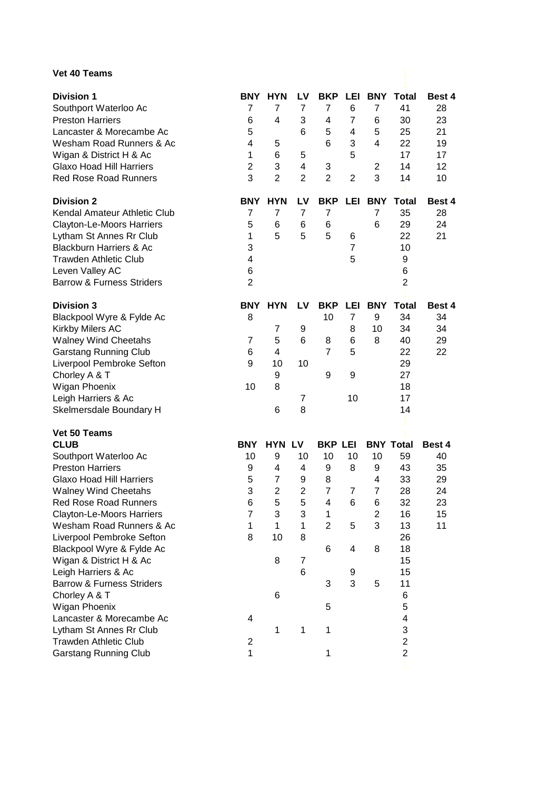## **Vet 40 Teams**

| <b>Vet 40 Teams</b>                                                   |                              |                              |                      |                          |                |                                   |                          |                    |
|-----------------------------------------------------------------------|------------------------------|------------------------------|----------------------|--------------------------|----------------|-----------------------------------|--------------------------|--------------------|
| <b>Division 1</b><br>Southport Waterloo Ac<br><b>Preston Harriers</b> | <b>BNY</b><br>7<br>6         | <b>HYN</b><br>7<br>4         | LV.<br>7<br>3        | <b>BKP LEI</b><br>7<br>4 | 6<br>7         | <b>BNY</b><br>$\overline{7}$<br>6 | <b>Total</b><br>41<br>30 | Best 4<br>28<br>23 |
| Lancaster & Morecambe Ac<br>Wesham Road Runners & Ac                  | 5<br>4                       | 5                            | 6                    | 5<br>6                   | 4<br>3         | 5<br>4                            | 25<br>22                 | 21<br>19           |
| Wigan & District H & Ac<br><b>Glaxo Hoad Hill Harriers</b>            | 1<br>$\overline{2}$          | 6<br>3                       | 5<br>4               | 3                        | 5              | 2                                 | 17<br>14                 | 17<br>12           |
| <b>Red Rose Road Runners</b>                                          | 3                            | $\overline{2}$               | $\overline{2}$       | $\overline{2}$           | $\overline{2}$ | 3                                 | 14                       | 10                 |
| <b>Division 2</b><br>Kendal Amateur Athletic Club                     | <b>BNY</b><br>$\overline{7}$ | <b>HYN</b><br>$\overline{7}$ | LV<br>$\overline{7}$ | <b>BKP</b><br>7          | LEI            | <b>BNY</b><br>$\overline{7}$      | <b>Total</b><br>35       | Best 4<br>28       |
| Clayton-Le-Moors Harriers                                             | 5                            | 6                            | 6                    | 6                        |                | 6                                 | 29                       | 24                 |
| Lytham St Annes Rr Club                                               | 1                            | 5                            | 5                    | 5                        | 6              |                                   | 22                       | 21                 |
| <b>Blackburn Harriers &amp; Ac</b>                                    | 3                            |                              |                      |                          | 7              |                                   | 10                       |                    |
| <b>Trawden Athletic Club</b>                                          | 4                            |                              |                      |                          | 5              |                                   | 9                        |                    |
| Leven Valley AC                                                       | 6                            |                              |                      |                          |                |                                   | 6                        |                    |
| <b>Barrow &amp; Furness Striders</b>                                  | $\overline{2}$               |                              |                      |                          |                |                                   | $\overline{2}$           |                    |
| <b>Division 3</b><br>Blackpool Wyre & Fylde Ac                        | <b>BNY</b><br>8              | <b>HYN</b>                   | LV                   | <b>BKP</b><br>10         | LEI<br>7       | <b>BNY</b><br>9                   | <b>Total</b><br>34       | Best 4<br>34       |
| Kirkby Milers AC                                                      |                              | $\overline{7}$               | 9                    |                          | 8              | 10                                | 34                       | 34                 |
| <b>Walney Wind Cheetahs</b>                                           | 7                            | 5                            | 6                    | 8                        | 6              | 8                                 | 40                       | 29                 |
| <b>Garstang Running Club</b>                                          | 6                            | 4                            |                      | $\overline{7}$           | 5              |                                   | 22                       | 22                 |
| Liverpool Pembroke Sefton                                             | 9                            | 10                           | 10                   |                          |                |                                   | 29                       |                    |
| Chorley A & T                                                         |                              | 9                            |                      | 9                        | 9              |                                   | 27                       |                    |
| Wigan Phoenix                                                         | 10                           | 8                            |                      |                          |                |                                   | 18                       |                    |
| Leigh Harriers & Ac                                                   |                              |                              | 7                    |                          | 10             |                                   | 17                       |                    |
| Skelmersdale Boundary H                                               |                              | 6                            | 8                    |                          |                |                                   | 14                       |                    |
| Vet 50 Teams<br><b>CLUB</b>                                           | <b>BNY</b>                   | <b>HYN LV</b>                |                      | <b>BKP LEI</b>           |                |                                   | <b>BNY Total</b>         | Best 4             |
| Southport Waterloo Ac                                                 | 10                           | 9                            | 10                   | 10                       | 10             | 10                                | 59                       | 40                 |
| <b>Preston Harriers</b>                                               | 9                            | 4                            | 4                    | 9                        | 8              | 9                                 | 43                       | 35                 |
| <b>Glaxo Hoad Hill Harriers</b>                                       | 5                            | $\overline{7}$               | 9                    | 8                        |                | 4                                 | 33                       | 29                 |
| <b>Walney Wind Cheetahs</b>                                           | 3                            | $\overline{c}$               | $\mathbf 2$          | 7                        | 7              | 7                                 | 28                       | 24                 |
| <b>Red Rose Road Runners</b>                                          | 6                            | 5                            | 5                    | 4                        | 6              | 6                                 | 32                       | 23                 |
| <b>Clayton-Le-Moors Harriers</b>                                      | $\overline{7}$               | 3                            | 3                    | $\mathbf 1$              |                | $\overline{2}$                    | 16                       | 15                 |
| Wesham Road Runners & Ac                                              | 1                            | 1                            | 1                    | $\overline{2}$           | 5              | 3                                 | 13                       | 11                 |
| Liverpool Pembroke Sefton                                             | 8                            | 10                           | 8                    |                          |                |                                   | 26                       |                    |
| Blackpool Wyre & Fylde Ac                                             |                              |                              |                      | 6                        | 4              | 8                                 | 18                       |                    |
| Wigan & District H & Ac                                               |                              | 8                            | $\overline{7}$       |                          |                |                                   | 15                       |                    |
| Leigh Harriers & Ac                                                   |                              |                              | 6                    |                          | 9              |                                   | 15                       |                    |
| <b>Barrow &amp; Furness Striders</b>                                  |                              |                              |                      | 3                        | 3              | 5                                 | 11                       |                    |
| Chorley A & T                                                         |                              | 6                            |                      |                          |                |                                   | 6                        |                    |
| Wigan Phoenix<br>Lancaster & Morecambe Ac                             | 4                            |                              |                      | 5                        |                |                                   | 5<br>4                   |                    |
|                                                                       |                              | 1                            | 1                    | 1                        |                |                                   | 3                        |                    |
| Lytham St Annes Rr Club<br><b>Trawden Athletic Club</b>               | $\overline{c}$               |                              |                      |                          |                |                                   | $\overline{2}$           |                    |
| <b>Garstang Running Club</b>                                          | 1                            |                              |                      | 1                        |                |                                   | $\overline{2}$           |                    |
|                                                                       |                              |                              |                      |                          |                |                                   |                          |                    |